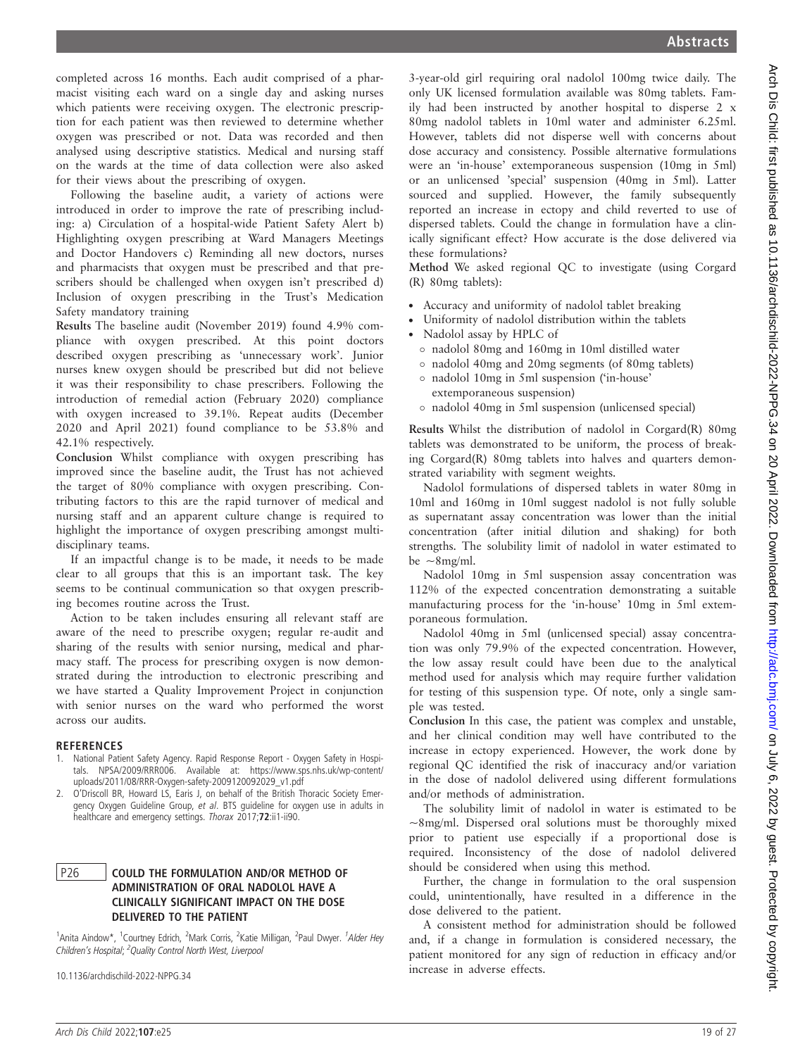completed across 16 months. Each audit comprised of a pharmacist visiting each ward on a single day and asking nurses which patients were receiving oxygen. The electronic prescription for each patient was then reviewed to determine whether oxygen was prescribed or not. Data was recorded and then analysed using descriptive statistics. Medical and nursing staff on the wards at the time of data collection were also asked for their views about the prescribing of oxygen.

Following the baseline audit, a variety of actions were introduced in order to improve the rate of prescribing including: a) Circulation of a hospital-wide Patient Safety Alert b) Highlighting oxygen prescribing at Ward Managers Meetings and Doctor Handovers c) Reminding all new doctors, nurses and pharmacists that oxygen must be prescribed and that prescribers should be challenged when oxygen isn't prescribed d) Inclusion of oxygen prescribing in the Trust's Medication Safety mandatory training

Results The baseline audit (November 2019) found 4.9% compliance with oxygen prescribed. At this point doctors described oxygen prescribing as 'unnecessary work'. Junior nurses knew oxygen should be prescribed but did not believe it was their responsibility to chase prescribers. Following the introduction of remedial action (February 2020) compliance with oxygen increased to 39.1%. Repeat audits (December 2020 and April 2021) found compliance to be 53.8% and 42.1% respectively.

Conclusion Whilst compliance with oxygen prescribing has improved since the baseline audit, the Trust has not achieved the target of 80% compliance with oxygen prescribing. Contributing factors to this are the rapid turnover of medical and nursing staff and an apparent culture change is required to highlight the importance of oxygen prescribing amongst multidisciplinary teams.

If an impactful change is to be made, it needs to be made clear to all groups that this is an important task. The key seems to be continual communication so that oxygen prescribing becomes routine across the Trust.

Action to be taken includes ensuring all relevant staff are aware of the need to prescribe oxygen; regular re-audit and sharing of the results with senior nursing, medical and pharmacy staff. The process for prescribing oxygen is now demonstrated during the introduction to electronic prescribing and we have started a Quality Improvement Project in conjunction with senior nurses on the ward who performed the worst across our audits.

#### **REFERENCES**

- 1. National Patient Safety Agency. Rapid Response Report Oxygen Safety in Hospitals. NPSA/2009/RRR006. Available at: https://www.sps.nhs.uk/wp-content/ uploads/2011/08/RRR-Oxygen-safety-2009120092029\_v1.pdf
- 2. O'Driscoll BR, Howard LS, Earis J, on behalf of the British Thoracic Society Emergency Oxygen Guideline Group, et al. BTS guideline for oxygen use in adults in healthcare and emergency settings. Thorax 2017;72:ii1-ii90.

### P26 COULD THE FORMULATION AND/OR METHOD OF ADMINISTRATION OF ORAL NADOLOL HAVE A CLINICALLY SIGNIFICANT IMPACT ON THE DOSE DELIVERED TO THE PATIENT

<sup>1</sup>Anita Aindow\*, <sup>1</sup>Courtney Edrich, <sup>2</sup>Mark Corris, <sup>2</sup>Katie Milligan, <sup>2</sup>Paul Dwyer. <sup>1</sup>Alder Hey Children's Hospital; <sup>2</sup>Quality Control North West, Liverpool

10.1136/archdischild-2022-NPPG.34

3-year-old girl requiring oral nadolol 100mg twice daily. The only UK licensed formulation available was 80mg tablets. Family had been instructed by another hospital to disperse 2 x 80mg nadolol tablets in 10ml water and administer 6.25ml. However, tablets did not disperse well with concerns about dose accuracy and consistency. Possible alternative formulations were an 'in-house' extemporaneous suspension (10mg in 5ml) or an unlicensed 'special' suspension (40mg in 5ml). Latter sourced and supplied. However, the family subsequently reported an increase in ectopy and child reverted to use of dispersed tablets. Could the change in formulation have a clinically significant effect? How accurate is the dose delivered via these formulations?

Method We asked regional QC to investigate (using Corgard (R) 80mg tablets):

- . Accuracy and uniformity of nadolol tablet breaking
- . Uniformity of nadolol distribution within the tablets
- . Nadolol assay by HPLC of
	- nadolol 80mg and 160mg in 10ml distilled water
	- nadolol 40mg and 20mg segments (of 80mg tablets)
	- nadolol 10mg in 5ml suspension ('in-house' extemporaneous suspension)
	- nadolol 40mg in 5ml suspension (unlicensed special)

Results Whilst the distribution of nadolol in Corgard(R) 80mg tablets was demonstrated to be uniform, the process of breaking Corgard(R) 80mg tablets into halves and quarters demonstrated variability with segment weights.

Nadolol formulations of dispersed tablets in water 80mg in 10ml and 160mg in 10ml suggest nadolol is not fully soluble as supernatant assay concentration was lower than the initial concentration (after initial dilution and shaking) for both strengths. The solubility limit of nadolol in water estimated to be  $\sim$ 8mg/ml.

Nadolol 10mg in 5ml suspension assay concentration was 112% of the expected concentration demonstrating a suitable manufacturing process for the 'in-house' 10mg in 5ml extemporaneous formulation.

Nadolol 40mg in 5ml (unlicensed special) assay concentration was only 79.9% of the expected concentration. However, the low assay result could have been due to the analytical method used for analysis which may require further validation for testing of this suspension type. Of note, only a single sample was tested.

Conclusion In this case, the patient was complex and unstable, and her clinical condition may well have contributed to the increase in ectopy experienced. However, the work done by regional QC identified the risk of inaccuracy and/or variation in the dose of nadolol delivered using different formulations and/or methods of administration.

The solubility limit of nadolol in water is estimated to be  $\sim$ 8mg/ml. Dispersed oral solutions must be thoroughly mixed prior to patient use especially if a proportional dose is required. Inconsistency of the dose of nadolol delivered should be considered when using this method.

Further, the change in formulation to the oral suspension could, unintentionally, have resulted in a difference in the dose delivered to the patient.

A consistent method for administration should be followed and, if a change in formulation is considered necessary, the patient monitored for any sign of reduction in efficacy and/or increase in adverse effects.